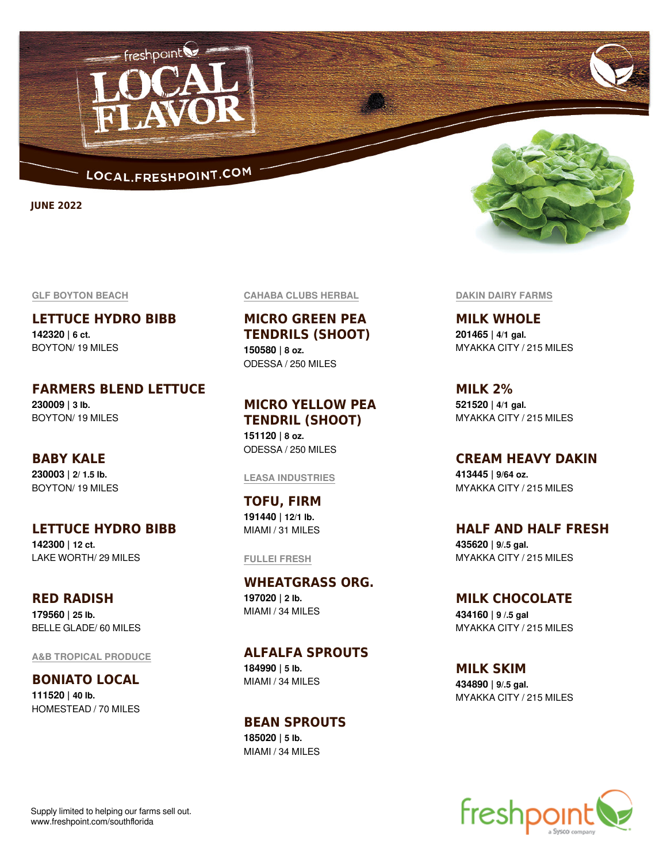

freshpoint

**JUNE 2022**

#### **GLF BOYTON BEACH**

**LETTUCE HYDRO BIBB 142320 | 6 ct.** BOYTON/ 19 MILES

**FARMERS BLEND LETTUCE 230009 | 3 lb.** BOYTON/ 19 MILES

**BABY KALE 230003 | 2/ 1.5 lb.** BOYTON/ 19 MILES

**LETTUCE HYDRO BIBB 142300 | 12 ct.**

LAKE WORTH/ 29 MILES

**RED RADISH 179560 | 25 lb.** BELLE GLADE/ 60 MILES

**A&B TROPICAL PRODUCE**

**BONIATO LOCAL 111520 | 40 lb.** HOMESTEAD / 70 MILES **CAHABA CLUBS HERBAL**

**MICRO GREEN PEA TENDRILS (SHOOT) 150580 | 8 oz.** ODESSA / 250 MILES

## **MICRO YELLOW PEA TENDRIL (SHOOT)**

**151120 | 8 oz.** ODESSA / 250 MILES

#### **LEASA INDUSTRIES**

**TOFU, FIRM 191440 | 12/1 lb.** MIAMI / 31 MILES

#### **FULLEI FRESH**

**WHEATGRASS ORG. 197020 | 2 lb.** MIAMI / 34 MILES

**ALFALFA SPROUTS**

**184990 | 5 lb.** MIAMI / 34 MILES

### **BEAN SPROUTS 185020 | 5 lb.**

MIAMI / 34 MILES



**DAKIN DAIRY FARMS**

**MILK WHOLE 201465 | 4/1 gal.** MYAKKA CITY / 215 MILES

**MILK 2% 521520 | 4/1 gal.** MYAKKA CITY / 215 MILES

**CREAM HEAVY DAKIN**

**413445 | 9/64 oz.** MYAKKA CITY / 215 MILES

**HALF AND HALF FRESH 435620 | 9/.5 gal.** MYAKKA CITY / 215 MILES

**MILK CHOCOLATE 434160 | 9 /.5 gal** MYAKKA CITY / 215 MILES

**MILK SKIM 434890 | 9/.5 gal.** MYAKKA CITY / 215 MILES